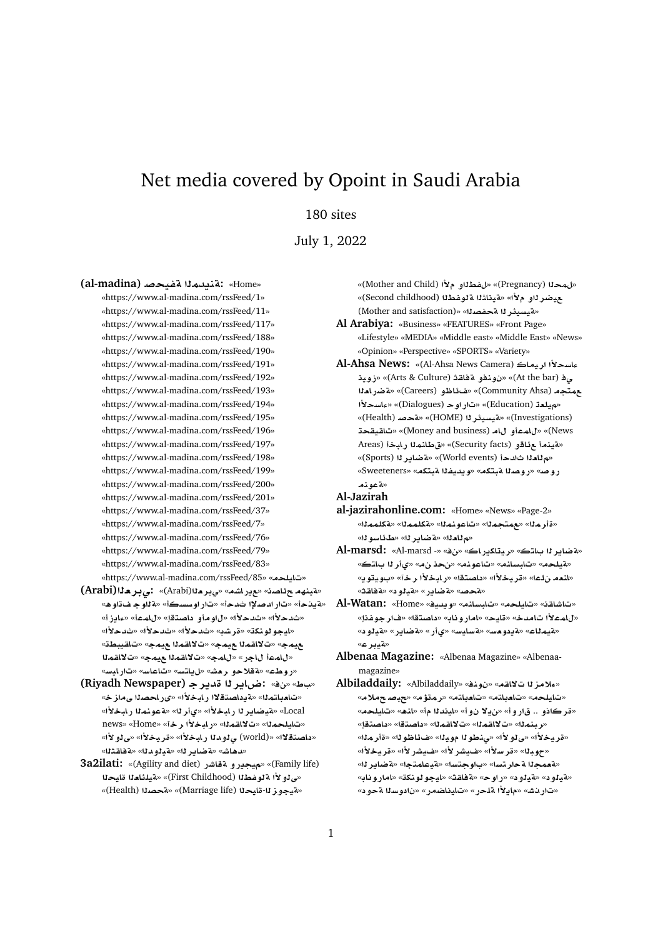# Net media covered by Opoint in Saudi Arabia

## 180 sites

July 1, 2022

**(al-madina) }yfT md§nT:** «Home»

«https://www.al-madina.com/rssFeed/1» «https://www.al-madina.com/rssFeed/11» «https://www.al-madina.com/rssFeed/117» «https://www.al-madina.com/rssFeed/188» «https://www.al-madina.com/rssFeed/190» «https://www.al-madina.com/rssFeed/191» «https://www.al-madina.com/rssFeed/192» «https://www.al-madina.com/rssFeed/193» «https://www.al-madina.com/rssFeed/194» «https://www.al-madina.com/rssFeed/195» «https://www.al-madina.com/rssFeed/196» «https://www.al-madina.com/rssFeed/197» «https://www.al-madina.com/rssFeed/198» «https://www.al-madina.com/rssFeed/199» «https://www.al-madina.com/rssFeed/200» «https://www.al-madina.com/rssFeed/201» «https://www.al-madina.com/rssFeed/37» «https://www.al-madina.com/rssFeed/7» «https://www.al-madina.com/rssFeed/76» «https://www.al-madina.com/rssFeed/79» «https://www.al-madina.com/rssFeed/83» «https://www.al-madina.com/rssFeed/85» «تايلحه»

- **(Arabi)`r¨:** «(Arabi)**`r¨**» «**KAC§**» «**OA¶ hnyT**» «ه يدخرف» «تار ادصلاً! ثدخلُ» «تار او سسكلُ» «ه ّللو جـ ف تاو ه» «**E§Aº**» «**mA**» «**tOA ¤w**» «**±d**» «**±d**» «**±d**» «**±d**» «**±d**» «**Kr**» «**knwwyA**» «**WbyqA**» «**my mqA¯**» «**my mqA¯**» «**my mqA¯**» «**my mqA¯**» «**mA**» «**CA mA**» «<mark>روط</mark>ع» «ةقلاحو رمش» «ل<sub>ا</sub>ياتس» «تاعاسه «تارايسه
- **(Riyadh Newspaper) r§d r§A|:** «» «**V** » «**تامداتم**نا» «ةيداصتقلاا رابخلاًا» «ىراحصنا ىمازخ» «**±bAC mnwT**» «**r©**» «**±bAC r§ARyT**» «Local news» «Home» «**r ±bAC**» «**mqA¯**» «**mlyA**» «داصتقلاا» «(world) ى<sup>ر</sup>وداا رابخلاًا» «قريخلاًا» «ى<sup>ر</sup>ولاًا» «مدهاش» «**مةضاير لل**ه «مقيلو مالله» «مة فاشتلاله»
- **3a2ilati:** «(Agility and diet) **CJAT ¤C§y**» «(Family life) «مِي<sup>ْ</sup>لُو لأَا مِّلْوِ غِطْنْا (First Childhood)» «مِّيْلِنَامِنْا مِّلْيِحِنْا «مقيجوز لل-قليحلا (Marriage life)» «تمجمدلا (Health)»

«لمحلا (Pregnancy)» «ل فطلاو م<sup>و</sup>ا (Mother and Child)» حيضر <mark>ل</mark>او م×أ» «مةيناشلا مقططللا (Second childhood)» (Mother and satisfaction)» «**OfT r¶ysyT**»

- **Al Arabiya:** «Business» «FEATURES» «Front Page» «Lifestyle» «MEDIA» «Middle east» «Middle East» «News» «Opinion» «Perspective» «SPORTS» «Variety»
- **Al-Ahsa News:** «(Al-Ahsa News Camera) **Ayr ±sAº ywE**» «(Arts & Culture) **qAT ¤nw** » «(At the bar) **¨ `ACRT**» «(Careers) **¤ZA¶**» «(Community Ahsa) **tm ±sAº**» «(Dialogues) **wC**» «(Education) **`ly**» «(Health) **}T**» «(HOME) **r¶ysyT**» «(Investigations) **qyqA**» «(Money and business) **A ¤mA**» «(News Areas) **bAC mnAV**» «(Security facts) **¤A¶ nyT**» «**Abyak )** «ه تاد دأ (World events)» «تم ضاير لـ (Sports)» «Sweeteners» «**ktbT fyd§w**» «**ktbT OwC**» «**}wC** «**ةعونم**
- **Al-Jazirah**
- **al-jazirahonline.com:** «Home» «News» «Page-2» «**mmlkT**» «**mmlkT**» «**mnwA**» «**mtm**» «**mr**» «م تادنا» «a ضاير نا» «ط *ئاسو*نا»
- **Al-marsd:** «Al-marsd -» «» «**AC§kAyr**» «**tA r§ART**» «**ميلحم» «تابسلنم» «تاعونم» «نحذ نم» «ي**أر لـا بالتك» «لل**عه ن!عا» «قريخلاًا» «داصت**قا» «ر.ابخلاًا رخآ» «بويتويه «**¤حص» «ةضاير» «قيلو د» «ةفاق**ث»
- **Al-Watan:** «Home» «**yd§w**» «**nAFbA**» «**lyA**» «**qAJA**» «**fwr**» «**tOA** » «**AwCA**» «**yA**» «**dA ±mA**» «**تاع» «قيمتلاع» «قودو هسه» «قسايس» «يiر» «قة قصاير» «قيالود»** «**تيبرع»**
- **Albenaa Magazine:** «Albenaa Magazine» «Albenaamagazine»
- Albiladdaily: «Albiladdaily» «*نو ذف»* « « albiladdaily» «**® }b**» «**¥mr**» «**tA`A**» «**tA`A**» «**lyA**» «قركاذو .. قارو أ» «ن2لا نو أ» «ليندلا مأ» «لذه» «تايلحه» «ربنم<sup>ز</sup>ا» «تلااقم<sup>ز</sup>ا» «تلااقم<sup>ز</sup>ا» «داصتقا» «داصتقاٍ» «قريخلاًا» «ي لـ9 لاًا» «ي.نطو لـ1 مويـلـ1» «شاطو لـ1» «قأر مـلـ1» «حويلا» «قرسلاًا» «غبيشر لأا» «غبيشر لأا» «قريخلاًا» «لقعمجـ1 لقحار تسا» «باوجـتسا» «لقيـعـلمـتجا» «لقضـايـر 11» «**AwCA**» «**knwwyA**» «**qAT**» «**wC**» « **¤yT**» « **¤yT**» «تار دش» «مايلاً! م*ُلح*ر » «تايناضمر » «نادوسنا م*ُحو*د»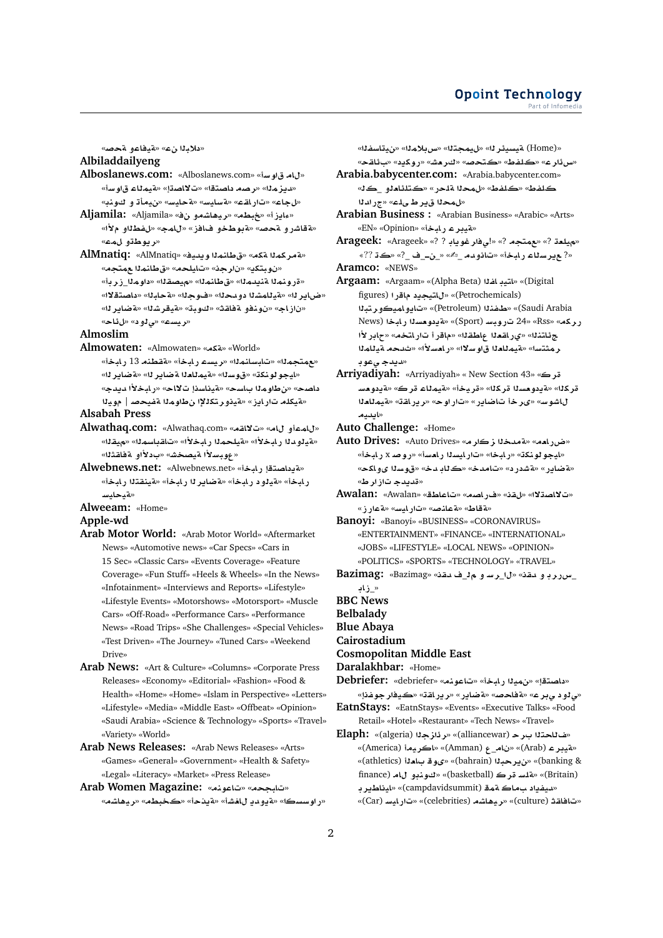#### **Opoint Technology** Part of Infomed

«**دلابـ**11 ن0» «قيـفاعو لقحصه

### **Albiladdailyeng**

- **Alboslanews.com:** «Alboslanews.com» «**Fw A**» «ديزمل<sup>»</sup> «رصه داصتقا» «تلااصتإ» «متبملاء قاوساً» «لجاع» «تار اقـع» «ةسليس» «ةحليسه «نيمأة و كونب»
- **Aljamila:** «Aljamila» « **¤KA¡yr**» «**Wb**» «**E§Aº**» «**فقاشر و متحصه «ةبوطخو فافز» «ل**امجه «لفطلاو ملأا»
- «**ريوط**ڌو لمڪ» **AlMnatiq:** «AlMnatiq» «**yd§w mnAV**» «**kT mkrT**» «نوبتكي» «نارجن» «تايلحه» «ق طانماا عمتجه»
- «قرونملا قنيدملا» «قطانملل» «م<sub>ا</sub>يصقلا» «داوملل\_زرباً» «ضاير لل» «**مقيللمشل**ا دو محلله» «فـوجلله» «مقحلبلله» «داصتقلاله» «ناز اج» «نونفو ةفاقث» «كوبة» «قيقرشنا» «ةضايرنا» «**ريست» «ي 1و د» «ل ئاح»**

#### **Almoslim**

- **Almowaten:** «Almowaten» «**kT**» «World»
	- «مهمتجملل» «تلبسلنملل» «ريسم رلبخل» «مقطنه 13 رلبخل» «ايجو لونكة» «قوسل**ك» «قيمللعل**ا **ةضابر ل**ه» «**قضابر ل**ه» داصح» «نطاومـلـا بـاسح» «ةيناسنـإ تـلااح» «رـابـخـلأا ديدج» «قيكله تار ايز» «قينور تكللإا ن**طاومن**ا قفيحصر | مويلا

#### **Alsabah Press**

- **Alwathaq.com:** «Alwathaq.com» «**qA¯**» «**A ¤mA**» «هيلوملا رابخلاًا» «هيلحملا رابخلاًا» «تاقباسملل» «ميقلله «عوبسلأا ةيصخ*ش*» «بدلأاو ةفاقثلا»
- «Alwebnews.net: «Alwebnews.net» «قدداصتقا رايخا» رابخأ» «قيلود رابخأ» «**فضاير ل**ا رابخأ» «قينقتلا رابخأ» **FyAyT**»

#### **Alweeam:** «Home»

#### **Apple-wd**

- **Arab Motor World:** «Arab Motor World» «Aftermarket News» «Automotive news» «Car Specs» «Cars in 15 Sec» «Classic Cars» «Events Coverage» «Feature Coverage» «Fun Stuff» «Heels & Wheels» «In the News» «Infotainment» «Interviews and Reports» «Lifestyle» «Lifestyle Events» «Motorshows» «Motorsport» «Muscle Cars» «Off-Road» «Performance Cars» «Performance News» «Road Trips» «She Challenges» «Special Vehicles» «Test Driven» «The Journey» «Tuned Cars» «Weekend Drive»
- **Arab News:** «Art & Culture» «Columns» «Corporate Press Releases» «Economy» «Editorial» «Fashion» «Food & Health» «Home» «Home» «Islam in Perspective» «Letters» «Lifestyle» «Media» «Middle East» «Offbeat» «Opinion» «Saudi Arabia» «Science & Technology» «Sports» «Travel» «Variety» «World»
- **Arab News Releases:** «Arab News Releases» «Arts» «Games» «General» «Government» «Health & Safety» «Legal» «Literacy» «Market» «Press Release»

**Arab Women Magazine:** «**nwA**» «**bA**» «**KA¡yr**» «**Wb**» «**@§T**» «**JA §d¤§T**» «**sswC**»

«**fsAy**» «**m®H**» «**tmy**» «**r¶ysyT** (Home)» «مس ذار ع» «كلفط» «كتحصه «كر مشه» «روكيد» «ب ئاقح» **Arabia.babycenter.com:** «Arabia.babycenter.com»

كلفط» «كلفط» «ل0محلا اقلحر» «كتلئلعلو \_كك» «لهحلا قبر طيله» «ج<sub>(</sub> ادلا

**Arabian Business :** «Arabian Business» «Arabic» «Arts» «ه**بیر ع رایگ**» «Opinion»

**Arageek:** «Arageek» «? ? **A§wr¨**!» «? **tm**» «? **`ly**» «?? » «?\_ \_**þ**\_» «✍\_ **d¤A**» «**bAC Asr§** ?» **Aramco:** «NEWS»

- **Argaam:** «Argaam» «(Alpha Beta) **fA ytA**» «(Digital figures) **CA §ytA**» «(Petrochemicals) **btr¤ymA¤§A**» «(Petroleum) **nfX**» «(Saudi Arabia رركه» «Rss» «Cyport) تاروبسا (Sport)» «قيدومسدا ربابخا (News **±CA**» «**tAC CA**» «**qWA `qAC©**» «**ntA¶** .<br>. و مثنسا» «قيمللغلا ق|و سلال» «ر ا*فس*لاًا» «ثيبجه قيللملا «*د*يدج *ي*عوڊ
- **Arriyadiyah:** «Arriyadiyah» « New Section 43» «**r-**قركله» «قيدومسلا قركله» «قريخأ» «قيملاء قرك» «قيدومس **`AmyT**» «**qAC§r**» «**wC**» «**C§ARA r«**» «**FwJA yd§A**»

**Auto Challenge:** «Home»

- **Auto Drives:** «Auto Drives» «هن رامه» «Auto Drives» «ايجو لونكة» «رابخا» «تارايسناا رامسأ» «روصد x رابخأ» «<mark>ه ضاير» «هشدر د» «تامدخ» «ڪ</mark>ڻاڊ دخ» «قوسنا يو اکح» «قديدج تاز ار ط»
- **Awalan:** «Awalan» «**WAA**» «**OAC**» «**q**» «**¯OA¯**» «**ECT**» «**FyAC**» «**}nAT**» «**VAT**»

**Banoyi:** «Banoyi» «BUSINESS» «CORONAVIRUS» «ENTERTAINMENT» «FINANCE» «INTERNATIONAL» «JOBS» «LIFESTYLE» «LOCAL NEWS» «OPINION» «POLITICS» «SPORTS» «TECHNOLOGY» «TRAVEL»

**Bazimag:** «Bazimag» «**qd** \_ **¤ Fr**\_» «**qd ¤ rCx**\_ **AE**\_»

**BBC News**

**Belbalady**

**Blue Abaya Cairostadium**

**Cosmopolitan Middle East**

**Daralakhbar:** «Home»

- **Debriefer:** «debriefer» «**nwA**» «**bAC ym**» «**tOA** »
- «<mark>ي ڻو د ي بر ع» «ةفاحص» «ةضاير » «ر ير اق</mark>ٽ» «ڪيفار جوفذإ» **EatnStays:** «EatnStays» «Events» «Executive Talks» «Food
- Retail» «Hotel» «Restaurant» «Tech News» «Travel»
- **Elaph:** «(algeria) **z¶r**» «(alliancewar) **r tA**» «(America) **yrA**» «(Amman) \_**A** » «(Arab) **ryT**» «(athletics) **`A w«**» «(bahrain) **br§**» «(banking & finance) **A ¤nw**» «(basketball) **r FlT**» «(Britain) «تمنفداد س**ماك تمي (**campdavidsummit)» «المناطير د «(Car) **FyAC**» «(celebrities) **KA¡yr**» «(culture) **qAA**»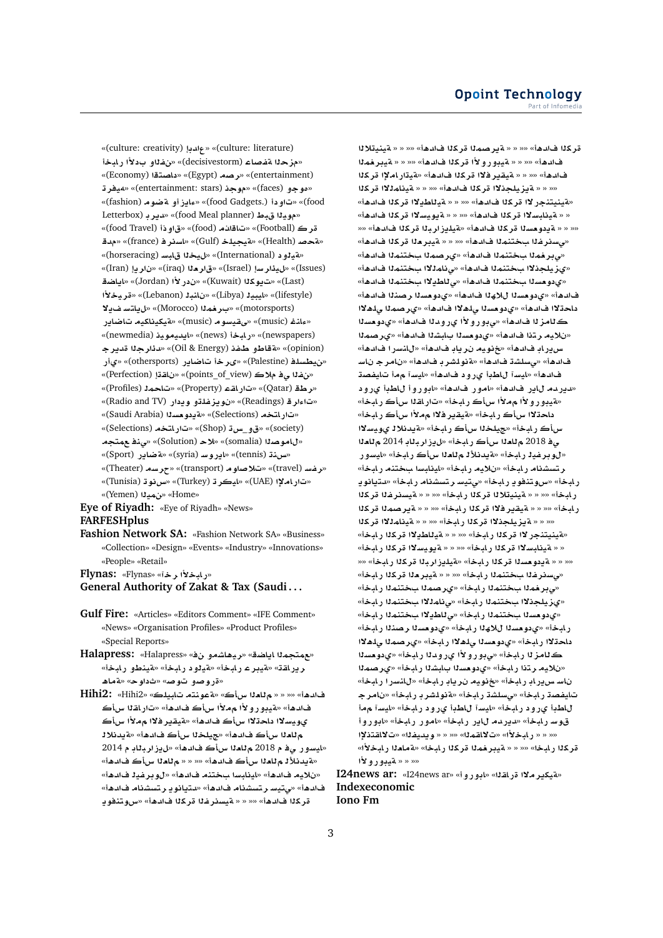«(culture: creativity) **d**» «(culture: literature) «مزحل<sub>ّ</sub> مقصاء (decisivestorm)» «نفل<sub>ّ</sub> و بـدلاً ربابـخـأ «(Economy) **tOA** » «(Egypt) **Or**» «(entertainment) **ry¢**» «(entertainment: stars) **w**» «(faces) **¤w£**» «(fashion) **wRT ¤E§Aº**» «(food Gadgets.)  **¤**» «(food Letterbox) **r§d**» «(food Meal planner) **Vb yw**» «(food Travel) **Ф**» «(food) **@A**» «(Football) **r d**» «(france) **rsA**» «(Gulf) **lyyT**» «(Health) **}T**» «**Aorseracing) » «ليخذا قابس** (horseracing)» «(Iran) **§r** » «(iraq) **`r**» «(Israel) **Fr¶y**» «(Issues) **SA§A**» «(Jordan) **±C** » «(Kuwait) **kw§** » «(Last) **±yr**» «(Lebanon) **bnA** » «(Libya) **ybyA**» «(lifestyle) **¯§ FtA§**» «(Morocco) **mr** » «(motorsports) **C§ARA ykAykyT**» «(music) **wFyqY**» «(music) **nAº**» «(newmedia) **ywyd§A**» «(news) **bAC**» «(newspapers) **r§d r¶d**» «(Oil & Energy) **fX ¤VAT**» «(opinion) «نيطسل**ف** (Palestine)» «ي رخا تاضاير (othersports)» «ي أر «*تفاق والاك* (points\_of\_view)» «ناقة! (Perfection)» «(Profiles) **mA**» «(Property) **qAC**» «(Qatar) **Wr**» «(Radio and TV) **C §w ¤lfz§w** » «(Readings) **rº**» «(Saudi Arabia) **s`w §T**» «(Selections) **tAC**» «(Selections) **tAC**» «(Shop) **H**\_**¤**» «(society) **tm n¨**» «(Solution) **®**» «(somalia) **OwA**» «**س.نـڌ (tennis)» «اڍروسـ (syria)» «تماير (Sport**)» «**رغه (travel)» «تلاصاوم (transport)» «جرسه (Theater**)» «(Tunisia) **wH**» «(Turkey) **ryA**» «(UAE) **³AC**» «(Yemen) **ym**» «Home»

**Eye of Riyadh:** «Eye of Riyadh» «News» **FARFESHplus**

**Fashion Network SA:** «Fashion Network SA» «Business» «Collection» «Design» «Events» «Industry» «Innovations» «People» «Retail»

**Flynas:** «Flynas» «**r ±bAC**» **General Authority of Zakat & Tax (Saudi . . .**

- **Gulf Fire:** «Articles» «Editors Comment» «IFE Comment» «News» «Organisation Profiles» «Product Profiles» «Special Reports»
- **Halapress:** «Halapress» « **¤KA¡yr**» «**SA§A mtm**» ريرا**لقة» «قيبر عـ رابـخأ» «قيلو د** رابـخأ» «قينطو رابـخأ» «**ةروصو توص**» «ثداوح» «**ةما**ه
- **Hihi2:** «Hihi2» «**lybA tnwT**» «**-x `A** » » »» «**¡d** فادهأ» «āيبو ر و لأا م،دلأا سأك فادهأ» «تار اقلا سأك يويسلاا داحڌلاا سأڪ فا*نده*أ» «¤يقير فلاا م¤لأا سأڪ **®d§T**» «**¡d -x ly**» «**¡d -x `A** «ايسو ر ي فـ م 2018 م **نامـڙا** سiڪ فـادها» «ل1يز ار بـ**ئـابـ م** 2014 «**ةيدنلأل**ـم للعـلا سأڪ فادھأ» «« « « م للعـلا سأڪ فادھأ» «نلايم فادهأ» «اينابسا بختنم فادهأ» «ل9وبرغية فادهأ» فادهأ» «يتي*س* رتسشنام فادهأ» «دتيانو يـ رتسشنام فادهأ» قركلا فادهأ» «« « **» قيسئرغلا قركلا فادهأ» «س**وتنفوي

**®ynyT** » » »» «**¡d kr mOr§T** » » »» «**¡d kr** فادهأ» «« » » » » تيبور و لأا قركلا فادهأ» «« » » يبرغملا فادهأ» «« « « ةيقير فلاًا قر كلًا فادهأ» «ةيتار املاًا قر كلًا «« « « **Äيزيلجذلاا قرك**لا فالدهأ» «« « « **Äي**نامللاا قركلا «قينيتنجر لاا قر كلا فادهأ» «« « « قيللطدلاا قر كلا فادهأ» « « ةينابسلاا قركلا فادهأ» «« « « ةيويسلاا قركلا فادهأ» »» «**¡d kr brE§lyT**» «**¡d kr s`w §T** » » »» «م*سدر فذا بختنمذا فادهأ*» «« « « ةيبر *هذا قر*كذا فادهأ» «*ي*بر فملا بختنملا فادهأ» «ير صملا بختنملا فادهأ» «يزيلج**نلاا بختنمل**ا فالدهأ» «ينامللاا بختنملا فالدهأ» «ي<mark>دومسل</mark>ا بختنملا فادهأ» «ي للطيلاا بختنملا فادهأ» فادهأ» «يدومسلا للاهلا فادهأ» «يدومسلا رصنلا فادهأ» داحتلاا فادهأ» «يدوهسنا <sub>ع</sub>لهلاا فادهأ» «يرصمنا <sub>ع</sub>لهلاا ڪلامز ل**ا فادهأ» «يڊورو لأا يرودنا فادهأ» «ي**دومسلا «نلايه رتذا فادهأ» «يدومسلا بابشلا فادهأ» «يرصملا س.يرباب فادهأ» «خنويه نرياب فادهأ» «للنسرا فادهأ» فادهأ» «ىسلشة فادهأ» «**¤نولشرب فادهأ» «نامرج ناس** فادهأ» «ليسآ للطدأ ي و و د فادهأ» «ليسآ مما تليفصة «ديردم ل**اير فادهأ» «امور فادهأ» «ابوروأ ل**اطبأ ىرود «هيڊو ر و لاا م ملاا ساڪ رابخاً» «تار اقـ1ا ساڪ رابخاً» داحڌلاا سأڪ رابخاْ» «ةيقير فلاا م¤لأا سأڪ رابخاْ» سأك ر ابخأ» «جيلخذا سأك ر ابخأ» «ةيدنلاذ يويسلاا ي**' 2018 م تام ناس أك ر ابخاً» «ل يز ار بـنابـ 2014 م تام نا** «لوبرغيـْ1 ر.ابـخأ» «**فيدنلأ1 م للعـْ**11 سiك ر.ابـخأ» «ايسور ر تسشنام ر**لبخأ» «نلايه رلبخأ» «لينلبسا بختنه رلبخ**أ» رابخأ» «س وتنفو يار بخأ» «يتيسا رتسشنام رابخأ» «دتيانو ي رابخأ» «« « « مّينيتلالا قركلا رابخأ» «« « « مّيسنرغلا قركلا رابخأ» «« « « مّيقير فلاا قركلا رابخأ» «« « « مّيرصملا قركلا «« « **ه يزيلجنلاا قركل**ا رابخاً» «« « **ه ينامللا**ا قركلا «**فينيتنجر لاا قركل**ا رابخأ» «« « « فيللطيلاا قركلا رابخأ» « **فينابسلاا قركل**ا رابخأ» «« « <mark>فيويسلاا قركل</mark>ا رابخأ» «« « <mark>» يدو مسئا قر كئا رابخاً» «فيليز اربئا قر كئا رابخاً» ««</mark> «*فسدر ف*نا بختنمنا رابخأ» «« « ةيبر منا قركنا رابخأ» «م**9بر فملا بختنملا رابخأ» «يرصملا بختنمل**ا رابخأ» «يزيلجذلاا بختنم**د**ا رابخأ» «ىنامذلاا بختنمدا رابخأ» «ي دو مسلا بختنملا ر ابخأ» «ي للطيلاا بختنملا ر ابخأ» ر ابخأ» «ىدومسنا للاهنا ر ابخأ» «ىدومسنا ر صننا ر ابخأ» داحتلاا ر ايخأ» «ىدومسلا <sub>ع</sub>لملاا ر ايخأ» «ىر صملا يلملاا ڪ<sup>ل</sup>امز لـا ر.ابـخأ» «ي.بو ر.و لأا ير و.دا ر.ابـخأ» «ي.دو.<del>م</del>سـلـا «نلايه رتنا رابخأ» «يدومسلا بابشلا رابخأ» «يرصملا ناسـ س.ير ابـ ر ابـخا» «خنويـمـ ن.ر يـابـ ر ابـخا» «ل.انـسر ا ر ابـخا» تايفصة رابخأ» «*يسلش*ة رابخأ» «ةنولشر بـ رابخأ» «نامر جـ لاطبأ ي رود رابخأ» «ليسآ للطبأ ي رود رابخأ» «ليسآ م**م**أ قوسـ رابـخأ» «ديردمـ ل**اير رابـخأ» «امور رابـخأ» «ابوروأ ³tqA¯**» «**fyd§w** » » »» «**mqA¯**» «**±bAC** » » »» قركلا رلبخا» «« « « ةيبر<mark>غمل</mark>ا قركلا رلبخا» «ةملعلا رلبخلأا» **±¤C¤yT** » » »»

**I24news ar:** «I24news ar» «**¤C¤A**» «**qAC ¯r§kyT**» **Indexeconomic Iono Fm**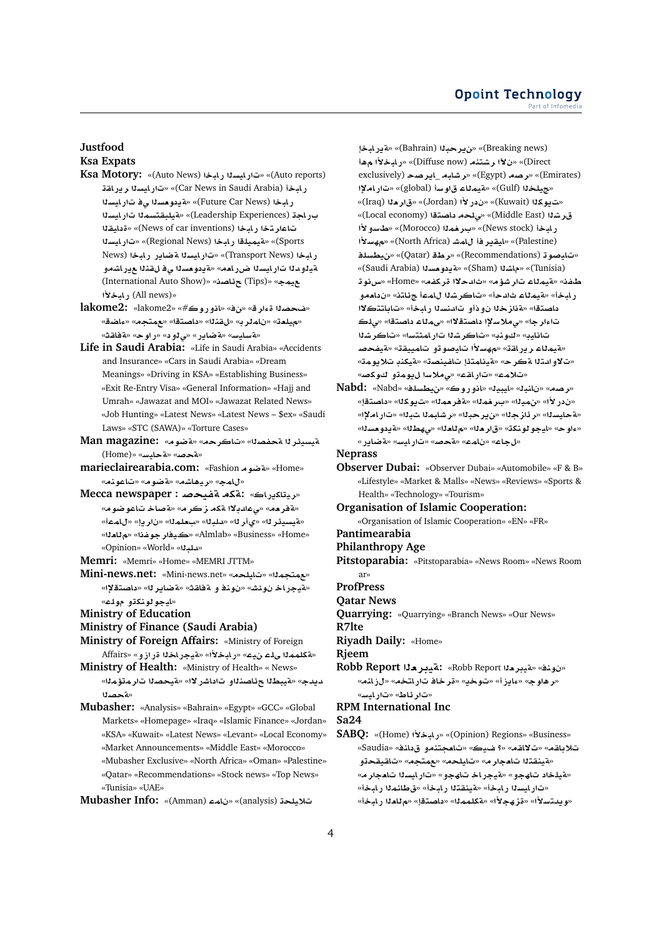## **Justfood**

## **Ksa Expats**

- **Ksa Motory:** «(Auto News) **bAC syAC**» «(Auto reports) **qAC§r syAC**» «(Car News in Saudi Arabia) **bAC s** و ابخا (Future Car News)» «قددو مسدا ي ف تار ايسدا ب**راجة (Leadership Experiences)» «مقيلبقتسم<sup>و</sup>ا تار ايسان**ا **تاعار تخا ريليخا (News of car inventions) «قدامقل**ا **syAC**» «(Regional News) **bAC lymyT**» «(Sports News) **bAC C§ART syAC**» «(Transport News) **bAC**  $\delta$ قيلودنا تار ايسنا ضرر امه» «قيدومسنا ي فال قناة عور اشمو (International Auto Show)» «**OA¶** (Tips)» «**my ±bAC** (All news)»
- **lakome2:** «lakome2» «#**wC¤A**» «» «**rº O**» «هيلعة» «ناملرب» «لقنلا» «داصتقا» «عمتجم» «ءاضق» «**qAT**» «**wC**» « **¤¨**» «**C§ART**» «**FyAFT**»
- **Life in Saudi Arabia:** «Life in Saudi Arabia» «Accidents and Insurance» «Cars in Saudi Arabia» «Dream Meanings» «Driving in KSA» «Establishing Business» «Exit Re-Entry Visa» «General Information» «Hajj and Umrah» «Jawazat and MOI» «Jawazat Related News» «Job Hunting» «Latest News» «Latest News – \$ex» «Saudi Laws» «STC (SAWA)» «Torture Cases»
- **Man magazine:** «**wRT**» «**rA**» «**OfT r¶ysyT** (Home)» «**FyAT**» «**}T**»
- **marieclairearabia.com:** «Fashion » «Kashion » «ل**امج» «ريماشه» «ةضوم» «تاعونه**»
- **Mecca newspaper : «ريتاكيراك» : Mecca** «**مقرمه» «ي عادبلاا متكم زكر م**» «مقصاخ تاعو ضوم» «هيسيئر لل» «ى أر لله «للبلك» «بعلملك» «ن ار يا» «ل امعاً» «**`A**» «**fwry**» «Almlab» «Business» «Home» «Opinion» «World» «**bld**»
- **Memri:** «Memri» «Home» «MEMRI JTTM»
- **Mini-news.net:** «Mini-news.net» «**lyA**» «**mtm**» «هيجر اخـ نوئش» «نونـفـو ة فاقـث» «ةضاير لله «داصتـقـلاٍ» «**ايجو لونكڌو مول**اع»
- **Ministry of Education**
- **Ministry of Finance (Saudi Arabia)**
- **Ministry of Foreign Affairs:** «Ministry of Foreign «aكلممذا يلم نيم» «بليخلأا» «aيجر اخذا قر از و» «Affairs
- **Ministry of Health:** «Ministry of Health» « News» دبدج» «قيبطلا حرئاصنلاو تاداشر لاا» «قيحصلا تار متؤملا» **OT**»
- **Mubasher:** «Analysis» «Bahrain» «Egypt» «GCC» «Global Markets» «Homepage» «Iraq» «Islamic Finance» «Jordan» «KSA» «Kuwait» «Latest News» «Levant» «Local Economy» «Market Announcements» «Middle East» «Morocco»
	- «Mubasher Exclusive» «North Africa» «Oman» «Palestine» «Qatar» «Recommendations» «Stock news» «Top News» «Tunisia» «UAE»

**Mubasher Info:** «(Amman) **mA** » «(analysis) **ly®**

**bAC§T**» «(Bahrain) **br§**» «(Breaking news) **¡ ±bAC**» «(Diffuse now) **ntKr µ** » «(Direct exclusively) **Or§A**\_ **bAJr**» «(Egypt) **Or**» «(Emirates) **³AC**» «(global) **Fw AmyT**» «(Gulf) **ly**» «ت بو كلا (Kuwait)» «ن در لأا (Jordan)» «قا**ر م**لا (Iraq)» قرشلا (Middle East)» «صلحه داصتةا (Local economy)» ر ابخا (News stock)» «بر**غ**ملا (Morocco)» «طا*سو* لأا **±Fh**» «(North Africa) **JmA r§qyA**» «(Palestine) **lsWy**» «(Qatar) **Wr**» «(Recommendations) **w}yA**» «(Saudi Arabia) **s`w §T**» «(Sham) **KA**» «(Tunisia) طفنه «مقيمللا تار شؤمه «ثالدحلاا قركفم» «Home» «س نو ت ر.ابخأ» «فيملاء ثالدحأ» «تـاكر شلـّا ل1مـّا جنّاتـنـ» «ن1عمو داصتقا» «ةنازخلا نودأو تادنسلا رابخأ» «تاباتتكلاا تاءار جا» «ي ملاسلاا داصتقلاا» «ي ملاء داصتقا» «ي لك **KrA**» «**FtmAC KrA**» «**nw**» «**yAA** «قيمِثاع ر در اقت» «م*هس*لاً! تايصو تو تامييقت» «قيفحصا «تلاو ادتلا a» حكر ح» «aينامتئا تاغينصت» «aيكند تلايومت» «تلامه» «تار اقه» «ی ملاسا ل بومةو الله کصه

**Nabd:** «Nabd» «**lsWy**» «**wC¤A**» «**ybyA**» «**bnA** » «**Or**» «ندر لأا» «نهيلا» «بـرخملا» «ةفرحملا» «تـيوكلـا» «داصتقإ» «**لة حايسن**ا» «ر دَارْ جِنا» «ن ير حبنا» «ر شابمنا شبنا» «تار املإا» «ءاوح» «ليجو لونكة» «قار دل<sup>ا»</sup> «م للدلا» «<sub>ك</sub>هطلا» «ةيدو مسلله» «**C§ART**» «**FyAC**» «**}T**» «**mA** » «**A**»

**Neprass**

- **Observer Dubai:** «Observer Dubai» «Automobile» «F & B» «Lifestyle» «Market & Malls» «News» «Reviews» «Sports & Health» «Technology» «Tourism»
- **Organisation of Islamic Cooperation:**

«Organisation of Islamic Cooperation» «EN» «FR»

- **Pantimearabia**
- **Philanthropy Age**
- **Pitstoparabia:** «Pitstoparabia» «News Room» «News Room ar»
- **ProfPress**

**Qatar News**

- **Quarrying:** «Quarrying» «Branch News» «Our News»
- **R7lte**

**Riyadh Daily:** «Home»

**Rjeem**

**Robb Report `ryT:** «Robb Report **`ryT**» «**nw** » «**بر هاو ج» «عايز أ» «توخي» «قر خاف تار اتخه» «لز انه»** «تار ئاط» «تار ا*لتس*»

**RPM International Inc**

**Sa24**

**SABQ:** «(Home) **±bAC**» «(Opinion) Regions» «Business» «Saudia» «**nA ¤nt`A**» «**y ?**» «**qA¯**» «**qA® ¤qyqA**» «**tm**» «**lyA**» «**r`A tqnyT**» «**¤يلخاد تاھجو» «¤يجراخ تاھجو» «تار**ايسلا تامجار مه «ت|رايسال رايخأ» «فينقتال رايخأ» «ق طانمال رايخأ» «و يبتسلاً!» «قز هجلاً!» «قكلمملل» «داصتقل» «ملعلل ر ايخاً»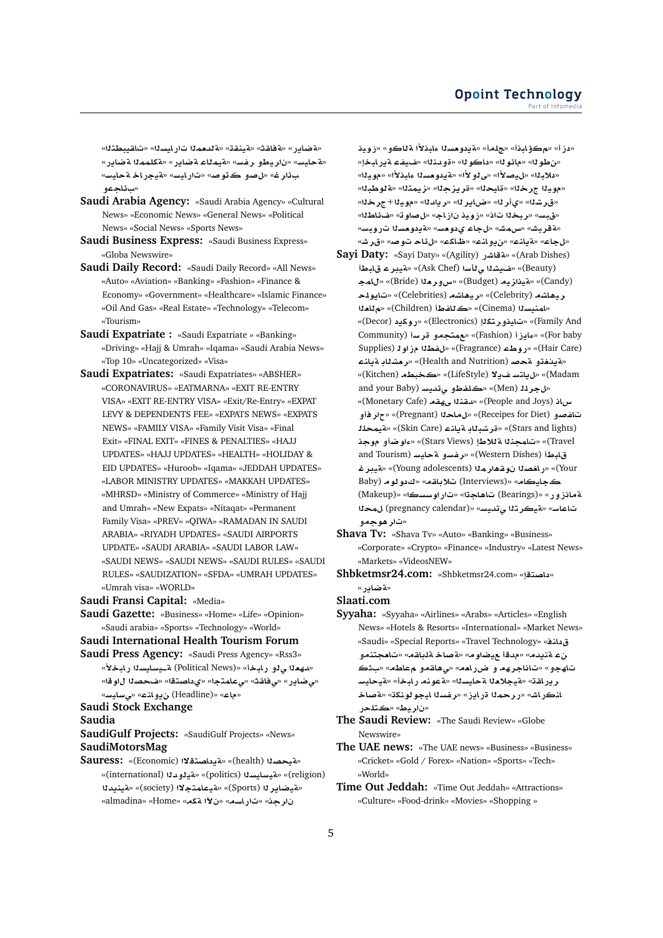«ه ضاير » «ه فاقتْ» «هينقة» «ه لدمملا تار ايسلا» «تاقيبطتلا» «**C§ART mmlkT**» «**C§ART AmyT**» «**Ffr ¤Vyr** » «**FyAT**» «**FyAT ACyT**» «**FyAC**» «**}w ¤}**» «**r¶**  «سائلجهه

- **Saudi Arabia Agency:** «Saudi Arabia Agency» «Cultural News» «Economic News» «General News» «Political News» «Social News» «Sports News»
- **Saudi Business Express:** «Saudi Business Express» «Globa Newswire»
- **Saudi Daily Record:** «Saudi Daily Record» «All News» «Auto» «Aviation» «Banking» «Fashion» «Finance & Economy» «Government» «Healthcare» «Islamic Finance» «Oil And Gas» «Real Estate» «Technology» «Telecom» «Tourism»
- **Saudi Expatriate :** «Saudi Expatriate » «Banking» «Driving» «Hajj & Umrah» «Iqama» «Saudi Arabia News» «Top 10» «Uncategorized» «Visa»
- **Saudi Expatriates:** «Saudi Expatriates» «ABSHER» «CORONAVIRUS» «EATMARNA» «EXIT RE-ENTRY VISA» «EXIT RE-ENTRY VISA» «Exit/Re-Entry» «EXPAT LEVY & DEPENDENTS FEE» «EXPATS NEWS» «EXPATS NEWS» «FAMILY VISA» «Family Visit Visa» «Final Exit» «FINAL EXIT» «FINES & PENALTIES» «HAJJ UPDATES» «HAJJ UPDATES» «HEALTH» «HOLIDAY & EID UPDATES» «Huroob» «Iqama» «JEDDAH UPDATES» «LABOR MINISTRY UPDATES» «MAKKAH UPDATES» «MHRSD» «Ministry of Commerce» «Ministry of Hajj and Umrah» «New Expats» «Nitaqat» «Permanent Family Visa» «PREV» «QIWA» «RAMADAN IN SAUDI ARABIA» «RIYADH UPDATES» «SAUDI AIRPORTS UPDATE» «SAUDI ARABIA» «SAUDI LABOR LAW» «SAUDI NEWS» «SAUDI NEWS» «SAUDI RULES» «SAUDI RULES» «SAUDIZATION» «SFDA» «UMRAH UPDATES» «Umrah visa» «WORLD»
- **Saudi Fransi Capital:** «Media»
- **Saudi Gazette:** «Business» «Home» «Life» «Opinion» «Saudi arabia» «Sports» «Technology» «World»

#### **Saudi International Health Tourism Forum**

**Saudi Press Agency:** «Saudi Press Agency» «Rss3» «لله**ع**ـدا ي فـو ر ابـخـأ» «Political News) قــيسايسـدا ر ابـخـلاً» «<mark>بي ضاير » «ي فاقث» «ي عامتجا» «ي داصت</mark>قا» «ف حصنا ل|و قا» «**FyAF¨**» «**nA¤§** (Headline)» «**A**»

**Saudi Stock Exchange**

**Saudia**

**SaudiGulf Projects:** «SaudiGulf Projects» «News» **SaudiMotorsMag**

**Sauress:** «(Economic) **¯tOA §T**» «(health) **OyT**» «(international) **d¤yT**» «(politics) **syAFyT**» «(religion) **d§nyT**» «(society) **¯tmAyT**» «(Sports) **r§ARyT**» «almadina» «Home» «**kT µ** » «**sAC**» «**r** 

«دز أ» «مكؤلبذأ» «جلمأ» «**قيدومسلالمابذلأا قل**لكو» «زويذ «بن طو 11» «مائو 11» «داكو 11» «ةو منذلا» «ضيفت قدر ليخل» «دلايـلا» «ل*يصـلاً*ا» «ي لو لاًا» «4يدو مسـلا عايـنـلاًا» «مو يـلـا» «مويـ1 جرخـ1» «قايحـ1» «قريزجـ1» «زيمـتـ1» «<mark>aلوطبـ1</mark>» «**r**+**yw**» «**d§r**» «**r§A|**» «**r©**» «**Kr**» «قبس» «ربخنا تان» «زويذ نازاج» «لصلوت» «ضئاطنا» «**F**قریش» «س مش» «ل جاع ی دو مسه «F دو مسدا ت رویسه» «**Jr**» «**}w A¶**» «**kA\_**» «**nA¤§**» «**nA§T**» «**A**»

**Sayi Daty:** «Sayi Daty» «(Agility) **CJAT**» «(Arab Dishes) **VbA ryT**» «(Ask Chef) **F-¨ Ky**» «(Beauty) **mA**» «(Bride) **`r¤x**» «(Budget) **yzyT**» «(Candy) **lw§A**» «(Celebrities) **KA¡yr**» «(Celebrity) **KA¡yr `A**» «(Children) **VfA**» «(Cinema) **synmA**» «(Decor) **§kwC**» «(Electronics) **ktr¤yA**» «(Family And Community) **Fr ¤tm**» «(Fashion) **E§Aº**» «(For baby Supplies) **wE Wf**» «(Fragrance) **WwC**» «(Hair Care) «قينغتو قحص (Health and Nutrition)» «ر<del>م</del>شلاب قيانـّ «(Kitchen) **Wb**» «(LifeStyle) **¯§ FtA§**» «(Madam and your Baby) **Fyd¨ ¤Vfl**» «(Men) **lr**» «(Monetary Cafe) **qhY nqd**» «(People and Joys) **Ax تاغصو (Receipes for Diet)» «ل ماحلا (Pregnant)» «جار فأو lmyT**» «(Skin Care) **nA§T AbKr**» «(Stars and lights) **w دتامجندا ة للاط**إ (Stars Views)» «ءاو ضاأو موجد) and Tourism) **FyAT ¤Ffr**» «(Western Dishes) **VbA ryT**» «(Young adolescents) **mr¡qw OAC**» «(Your Baby) **ww** » «**qA®** (Interviews)» «**AyA** (Makeup)» «**sswC**» «**A¡A** (Bearings)» «**C¤EAT** تاعا*س*» «**تيكرت**لا ي تديس» «(pregnancy calendar) لمحلا «تار هوج*م*و

**Shava Tv:** «Shava Tv» «Auto» «Banking» «Business» «Corporate» «Crypto» «Finance» «Industry» «Latest News» «Markets» «VideosNEW»

**Shbketmsr24.com:** «Shbketmsr24.com» «داصتقا «**تضادر** »

**Slaati.com**

**Syyaha:** «Syyaha» «Airlines» «Arabs» «Articles» «English News» «Hotels & Resorts» «International» «Market News» «Saudi» «Special Reports» «Travel Technology» «**nA**  نء ةنيدم» «مدقأ عيضاو م» «ةصاخ ةلباقم» «تامجتنمو » «**WA ¤qA¡¨**» «**`AC| ¤ hrAA**» «**¤hA** ر بر اقت» «قيجلا**م**نا ةحليسنا» «ةعونه ر ابخأ» «ةيحليس **A}T**» «**knwwyA sfr**» «**E§AC mrC**» «**JACnA** «ناريط» «<mark>ڪتلح</mark>ر

**The Saudi Review:** «The Saudi Review» «Globe Newswire»

- **The UAE news:** «The UAE news» «Business» «Business» «Cricket» «Gold / Forex» «Nation» «Sports» «Tech» «World»
- **Time Out Jeddah:** «Time Out Jeddah» «Attractions» «Culture» «Food-drink» «Movies» «Shopping »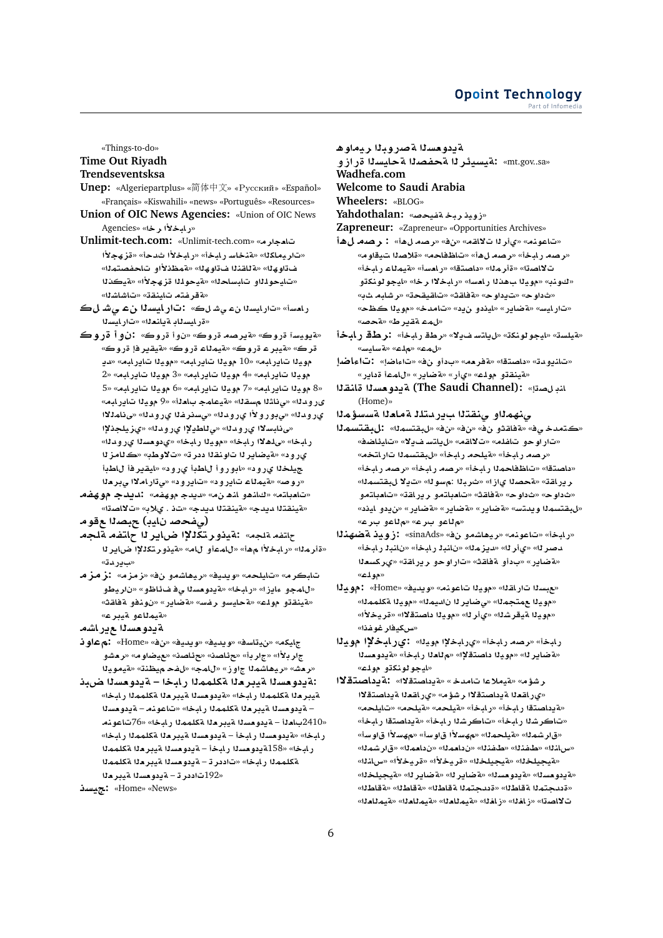#### Opoint Technology Part of Infomed

«Things-to-do» **Time Out Riyadh** 

## Trendseventsksa

- Unep: «Algeriepartplus» «简体中文» «Русский» «Español» «Français» «Kiswahili» «news» «Português» «Resources»
- Union of OIC News Agencies: «Union of OIC News «د المخلأ الم خلا» «Agencies
- تامجار مه «Unlimit-tech.com سنامجار مه «تاريماكلا» «ةنخاسـر ابخأ» «رابخلأا ثدحأ» «ةزهجلأا ف تاو&لل» «aَ للقنـلالف تاو&لل» «مقمطْنـلاًاو\_ت|حفصتمـلـل» «تايحولذاو تابساحنا» «ةيحولذا قز هجلاًا» «ةيكذنا «ةقرفته تاينقة» «تاشاشلا»
- رامساً» «تارايسنا نء ي شلك» : تارايسنا نء ي شلك «قرايسناد ةياندنا» «تارايسنا
- «ةيويسآ ةروك» «ةيرصه ةروك» «نوا ةروك» :نوا قروك قرڪ» «قيبر ۽ قروڪ» «قيمڻاء قروڪ» «قيقير فإ قروڪ» مويذا تاير ابه» «10 مويذا تاير ابه» «مويذا تاير ابه» «ديـ مويدًا تباير ليه» «4 مويدًا تباير ليه» «3 مويدًا تباير ليه» «2 «8 مويذا تاير لبه» «7 مويذا تاير لبه» «6 مويذا تاير لبه» «5 ىرودنا» «ىناشلا مسقلا» «ةيعامج باملة» «9 موينا تايرابه» ى رودنا» «ى بورولاًا ى رودنا» «ىسنرغنا ى رودنا» «ى نامنلاا «ى نابسلاا ىرودنا» «ى ناطيلاا ىرودنا» «ىزيلجذلاا ر ابخا» «ىلهلاا رابخا» «مويزا رابخا» «يدومسزا يرودنا» ي رود» «قيضاير لا تاونقلا ددرته «تلاوطب» «كلامز لا جيلخلا ي رود» «ابوروأ للطبأ ي رود» «ايقيرفأ للطبأ «روصه «قيمناء تايرود» «تايرود» «ى تاراملاا ى بردا
- «تامباته» «كانهو انه ن»» «ديدج موهفه» لديدج موهفهـ «مقينقتلا مويدج» «مقينقتلا مويدج» «ت1 . يلاب» «تلااصةا» (صفحصد نايب) جبصدا ع قو م
- جلتفه ةلجه» :ةيذو رتكذلاًا ضاير 11 جلتفه ةلجه
- سادر دق»
- تابكرم» «تايلحم» «ويديف» «ريهاشمو نف» «زمزم» لزمزهـ «للمجو ءايزا» «رلبخا» «ةيدوهسنا ي فف ناظو» «ناريطو «مقينقذو مولك» «مقايسو رغسه «مقاير» «نونفو مقاقته» «متيملاعو متيبرع»

ةددوحسدا حرر اشم

- جليكه» «ن:يتاسف» «ويديف» «ويديف» «نف» «Home» أنم عاوان جار بـ3أ» «جار بـأ» «حدًاصنه» «حرًاصنه «عيضاو مه «ر مشو «رهش» «ريهاشمذا جاوز» «للمج» «لفح ميظنة» «قيمويذا
- :ةيدومسلا ةيبرملا ةكلمملا رابخا ةيدومسلا ضبذ ةيبر ملا ةكلمماا رابخا» «ةيدومساا ةيبر ماا ةكلمماا رابخا» – ةيدومسلا ةيبرملا ةكلمملا رابخا» «تاعونه – ةيدومسلا «2410باملأ – ةيدومسلا ةيبر ملا ةكلمملا رابخا» «76تاعونهـ رابخا» «ةيدومسنا رابخأ – ةيدومسنا ةيبرمنا ةكلممنا رابخا» رابخا» «158ةيدومسنا رابخأ – ةيدومسنا ةيبرمنا ةكلممنا ةكلممذا رابخا» «تاددر تا- قيدومسذا ميبرمذا مكلممذا «192تاددر ت- ةيدومسلا ةيبرملا

«Home» «News» : مجمسد

- ةيدومسلا ةصروبلا ريماوه
- «mt.gov..sa» :ةيسيئر لـا ةحفصلـا ةحايسلـا ةرازو Wadhefa.com

Welcome to Saudi Arabia

Wheelers: «BLOG»

- 
- Yahdothalan: «زويذربخةفيحصه
- Zapreneur: «Zapreneur» «Opportunities Archives»
- «تاعوذم» «يأر لا تلااقم» «نف» «رصه لهأ» : رصه لهأ «رصه رابخأ» «رصه لهأ» «تاظفاحه» «ةلاصنا تيقاوم» تلااصتا» «ةأرملا» «داصتقا» «رامسأ» «ةيملاء رابخأ» «كونب» «موياا بهفانا رامسا» «رابخلاا رخا» «ايجو لونكتو «ثداو ح» «ت1داو ح» «ةفاقـڤ» «تـاقـيـقـحـڌ» «ر شابـه ث1به «تار ايس» «ةضاير » «ايذدو ن2د» «تامدخ» «مويذا كظح» «لمء ةقير ط» «ةحصه
- «قيلسة» «ليجو لونكة» «ل9يلتساف2» «رطة رابخاً» [زار طة رابخاً «بالماء» «ملاعه» «بةسابلسه»
- «تانيودت» «داصتقا» «ةفرمه» «بدأو نف» «تاءاضإ» : تاءاضاً «مَينقدّو مولد» «ي أر » «مَضاير » «للمعا قداير »
- لندلصته : (The Saudi Channel) قددو مسدا قلنقذا (Home)»
- ىنهمذاو ىنقتذا سيردتلذ ةمامذا ةسسؤمذا

«كتمدخ ي ف» «ة فاقثو ن ف» «ن ف» «ن ف» «لبقتسمنا» : ل بقتسم لـا «تاراوحو تاغله» «تلااقه» «ليلتسفيلا» «تايئاضف» «رصه رابخأ» «ةيلحه رابخأ» «لبقتسماا تاراتخه» «داصتقا» «تاظفاحمدًا رابخاً» «رصه رابخاً» «رصه رابخاً» ر يرافقه «ةحصلا ىازا» «شربلا :مسولا» «تايلا ل بقتسملا» «ثداوح» «ثداوح» «ةفلقث» «تامبلتمو ريرلقة» «تامبلتمو «لبقتسمـدا ويدتس» «ةضاير» «ةضاير» «ةضاير» «ن2دو ليند» «م لاعو برع» «م لاعو برعه

- «رابخأ» «تاعونه» «ريهاشهو نف» «sinaAds» : زويذ ةضهذلا ماصر لله «يأر لله «مايز ماله» «نانبا رابخاً» «نانبا رابخاً» «ةضاير» «بدأو ةفاقث» «تاراوحو ريراقة» «يركسعلا «دم الاعه»
- «عبسنا تاراقنا» «موينا تاعونه» «ويدية» «Home» : مويذا «مويلا عمتجملا» «ي ضاير لـ أن السملا» «مويلا مكلمملا» «مويلا ميقرشلا» «يأرلله «مويلا داصتقلاله «قريخلأله <sup>ر</sup>س كيفار غوغذا»
- رابخاً» «رصه رابخاً» «يرابخلاًا مويناً» :يرابخلاًا موينًا «ةضاير لله «مويذا داصنةلإله «م للعذا رابخاً» «ةيدوهسذا «ايجو لونكڌو مولم»
- ر شؤم» «ةيملاعا تامدخ» «ةبداصتقلاا» : ةبداصتقلاا «ير اقعلا ةيداصتقلاا ر شؤم» «ير اقعلا ةيداصتقلاا «مقيداصتقا رابخأ» «رابخأ» «مقيلحمه «مقيلحمه» «تايلحم» «تاكرشلا رابخأ» «تاكرشلا رابخأ» «ةيداصتقا رابخأ» «قارشمذا» «ةيلحمذا» «مهسلاًا قاوساً» «مهسلاًا قاوساً» «سانله» «طفنله» «طفنله» «ن(داممله» «ن(داممله» «قارشمله» «A» يجيلخلا» «aيجيلخلا» «قريخلأا» «قريخلأا» «سلذلا» «ةيدومسلل» «ةيدومسلله «ةضاير لله «ةضاير لله «ةيجيلخلله» «قددحتمدا ةقاطلا» «قددحتمدا ةقاطلا» «ةقاطلا» «ةقاطلا» ت لااصدا» «زافلا» «زافلاا» «قىملافلاا» «قىمللغلا» «قىمللغلا»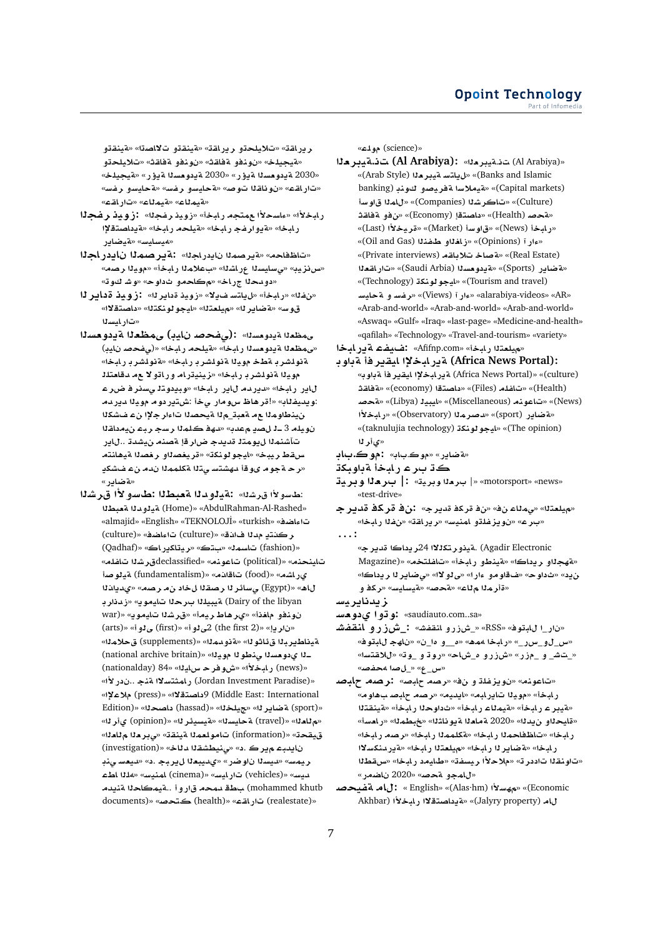ريرافة» «تلايلحةو ريرافة» «ةينفةو تلااصةا» «ةينفةو «متيجيلخ» «نونفو مفاقث» «نونفو مفاقث» «تلايلحتو «2030 ةيدومسلا ةيؤر» «2030 ةيدومسلا ةيؤر» «ةيجيلخ» «تار اقـء» «نو ناقـ11 تـو صه «ةحايسو ار فسه «ةحايسو ار فسه «مقيملاع» «مقيملاع» «تار اقته»

- رابخلأا» «ءاسحلأا ممتجه رابخاً» «زويد رغجلاً». :زويد رغجلًا ر ابخا» «قدوار فج ر ابخا» «قيلحه ر ابخا» «قدداصتقلاًا «ميسايس» «متيضاير
- «تاظفاحه» «ةيرصمنا نايدر اجنا». نةير صمال نايدر اجلا «س نزيبه «ىسايسةا عراشةا» «بعلامةا رابخة» «مويةا رصمه» «دو.دحلا جر.اخ» «مڪاحمو ثداوح» «وشاكوته»
- «نفلا» «رابخاً» «ليلتسفيلاً» «زويذ ةداير لـا». •زويذ ةداير لـا قوس» «ةضاير لـ» «ميلعتلل» «ليجو لونكتلل» «داصتقلال» «تارايسلا
- ممظعللة يدومسلك : (مفحصه نايب) ممظعلل قيدومسلا «و،مظعـزا ةيدوهسـزا ربابـخاً» «ةيلحـهـ ربابـخا» «(و،ضحصـ ن|يب) ةنولشر بـ ةطخـ مويـنا ةنولشر بـ رابخا» «ةنولشر بـ رابخا» موينا ةنولشربار بإخا» «زينيترام وراتولا ع مدقامتلك لباير رابخا» «ديردم لاير رابخا» «وبيدوتا يسنر فاضراعا :ويديفناب» «!قرهاظ س9مار ىخاً :شتيردوم موينا ديردم ن ينطاومنا ع مشعبت منا شيحصنا تاءار جلاًا نء فشكنا نويله 3 ـ1 للصد معدب» «دهة كلمنا رسج ربط نيمداقنا تآشنمنا ليومتا قديدج ضارقإ ةصنه نيشدة ..للير سقط ريبخ» «ليجو لونكة» «قريغصلاو رغصلا ةيهلنتهـ «رحةجوم ىوقأ دهشتسوتنا ةكلممنا ندمرنء فشكي «aشادر»
- :طسولاًا قرشنا» :ةيلودلا ةعبطلا :طسولاًا قرشلا «AbdulRahman-Al-Rashed» «تيلودنا مقعبطنا تاءاضيف» «almajid» «English» «TEKNOLOJİ» «turkish» ركنتدِ مدلا فانفه» «(culture) تاءاضفه «(culture) «(fashion) تاسمة» «بتك» «ريتاكيراك» «(Qadhaf) تاينحنه» «(political) تاعونه» «declassifiedورشلا تافله» ىراشە» «(food) تاقانە» «(fundamentalism) ةيلوصا لاه» «(Egypt) ىسائر لا رصقلا ل خاد ن مرصه» «ىديانالا Dairy of the libyan) ةيبيلـ 11 برحلا تايموي» «ز.دنار بـ نونفو ملغذأ» «يرهاط ريماً» «قرشلا تايموي» «(war «ناريا» «(the first 2) 2ی لو أ» «(first) ی لو أ» «(arts) ةِ ناطير بِرْا وَرِئَاتُو لِا» «ةِ نويمِرْا» «(supplements) وَ حِلامِرْا» ـنا ىدومسنا منطونا موينا» «(national archive britain) (news) رابخلأا» «ش وفر حسابانا» «84 (nationalday) «Jordan Investment Paradise) , امثتسلاا مقنع ..ندر لأا» Middle East: International) 9داصتقلاا» «(press) ملاعلاً» «(sport) a ضاير له» «جيلخله» «(hassad) داصحله» «Edition) «م للعله» «(travel) ةحايسله» «مقيسيئر له» «(opinion) ىأر له» قيقحة» «(information) تامولعملا مينقق» «يبر ملا مللعلا» نايدبه ميرك .د» «ينيطشقلا دلاخ» «(investigation) ريمس» «ديسةا ناوضر» «يديبعةا ل1يربج .د» «ديعس ىنڊ لديسه» «(vehicles) تارايسه» «(cinema) امنيسه «هلاا اطء mohammed khutb) بطق دمحه قاروا ..ةيمكاحلا ةنيدم documents)» «دار اقيم» «(health) كتحصه» «(documents

«(science) مولمه»

- «Al Arabiya) ت: تميبرمك» : (Al Arabiya) ت: تميبرمك Banks and Islamic)» «ل باتسه قيدر حذا (Arab Style)» (Capital markets)» «تميملاسا تمفريصو كوند (banking (Culture)» «تاكر شـ (Companies)» «لامـ لـ اق او سـ أ «مقحصه (Health)» «داصتقا (Economy)» «ن فو م فاقث «ربايخا (News)» «قراء سا (Market)» «قريخلاً (Last)» «وارآ (Opinions)» «زافةاو طفنةا (Oil and Gas)» (Real Estate)» «تم صاخ تلاباقه (Private interviews)» «مقضاير (Sports)» «قيدو مسدا (Saudi Arbia)» «تار القعدا «(Tourism and travel)» «ايجو لونكة (Technology) «alarabiya-videos» «بور آ (Views)» «رفسه و ماحليسه» «Ciews» «Arab-and-world» «Arab-and-world» «Arab-and-world» «Aswaq» «Gulf» «Iraq» «last-page» «Medicine-and-health» «qafilah» «Technology» «Travel-and-tourism» «variety»
- «ملعتلا رادخة» «Afifnp.com» :ضليفت قدر المخا
- :(Africa News Portal) ةير ابخلاا ايقير فأ ةباوب (culture)» «(Culture) a آبر ابخلاا ابقبر فأ مذاويه» (Health)» «تافله (Files)» «داصتقا (economy)» «× فاقث (News)» «تاعونه (Miscellaneous)» «ايبيد (Libya)» «قحصه «قضادر (sport)» «دصر ملا (Observatory)» «ر ابخلاً ا (The opinion)» «ايجو لونكة (taknulujia technology)» «یأر لا
- «ة ضاير » «موڪ.باب» **: موڪ.باب**
- كڌ برء رابخأ ةباوبكڌ
- «motorsport» «news» | بارها وبرية» : | بارها وبرية «test-drive»
- «ميلعتنا» «ٯمناء نف» «ن؋ ةركة ةديرج» :ن؋ قركة قديرجـ «برع» «نويزغلةو امنيسه «ريراقة» «نفلا رابخا»  $\ldots$ :
	- Agadir Electronic) .ةيذو ر تكلـلاا 24ر يداكا قدير جـ» «فهجلاو ريداكا» «فينطو رابخاً» «تافلتخم» «Magazine) ن يد» «ثداوح» «فقاومو ءارا» «ي لو لاا» «ي ضاير لا ريداكا» «قأر مِنا مِناع» «مُحصه «مُيسايسه «ركة و

زيدنايريسا

- «saudiauto.com..sa» :و توا یدو مسـ
- «نار\_ا للبتوف» «RSS» «\_شزرو انقفشه» :\_ش(رو المقفشه «س\_لو\_س ر\_» «رابخا 4هه» «ه\_و ها\_ن» «ناهج للبتوفه «\_تش\_ و \_مزر» «شزرو ه\_شاحه «روڌ و \_وڌ» «للاقتسا» «<u>س ع» «\_ل</u> صا 4حفصه
- «تاعونه» «نويزغلة و نف» «رصه حلبصه لنرصه حلبصه ر ابخاً» «مويلا تاير ابه» «ايديه» «رصه حابص بهاوه» «فيبر ع رابخاً» «فيملاع رابخاً» «ثداوحلا رابخاً» «فينقتلا «قايحذاو ن2010» «2020 a مامذا ةيوناشنا» «خبطمنا» «رامسأ» رابخا» «تاظفاحملا رابخا» «ةكلمملا رابخا» «رصه رابخا» رابخا» «ةضاير لـ رابخا» «ميلعتلا رابخا» «ةيردنكسلاا «تاونقلا تاددر ته «ملاحلاًا ريسفة» «طايعد رابخا» «سقطلا «للمجو محص» «2020 ناضمر»
- (Economic «مهسلاً) « English» «(Alas·hm) » : لماه فقصحصه Akhbar) الدخلاف (Jalyry property) «قادداصتقلال راملكنا)